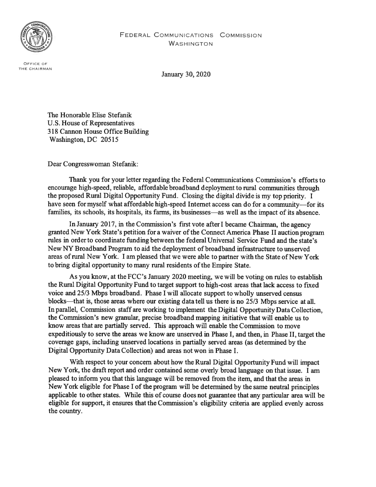

OFFICE OF THE CHAIRMAN

January 30, 2020

The Honorable Elise Stefanik U.S. House of Representatives 318 Cannon House Office Building Washington, DC 20515

Dear Congresswoman Stefanik:

Thank you for your letter regarding the Federal Communications Commission's efforts to encourage high-speed, reliable, affordable broadband deployment to rural communities through the proposed Rural Digital Opportunity Fund. Closing the digital divide is my top priority. <sup>I</sup> have seen for myself what affordable high-speed Internet access can do for <sup>a</sup> community—for its families, its schools, its hospitals, its farms, its businesses—as well as the impact of its absence.

In January 2017, in the Commission's first vote after I became Chairman, the agency granted New York State's petition for <sup>a</sup> waiver ofthe Connect America Phase II auction program rules in order to coordinate funding between the federal Universal Service Fund and the state's New NY Broadband Program to aid the deployment of broadband infrastructure to unserved areas ofrural New York. I am pleased that we were able to partner with the State of New York to bring digital opportunity to many rural residents of the Empire State.

As you know, at the FCC's January 2020 meeting, we will be voting on rules to establish the Rural Digital Opportunity Fund to target suppor<sup>t</sup> to high-cost areas that lack access to fixed voice and 25/3 Mbps broadband. Phase <sup>I</sup> will allocate suppor<sup>t</sup> to wholly unserved census blocks—that is, those areas where our existing data tell us there is no 25/3 Mbps service at all. In parallel, Commission staff are working to implement the Digital Opportunity Data Collection, the Commission's new granular, precise broadband mapping initiative that will enable us to know areas that are partially served. This approach will enable the Commission to move expeditiously to serve the areas we know are unserved in Phase I, and then, in Phase II, target the coverage gaps, including unserved locations in partially served areas (as determined by the Digital Opportunity Data Collection) and areas not won in Phase I.

With respec<sup>t</sup> to your concern about how the Rural Digital Opportunity fund will impact New York, the draft repor<sup>t</sup> and order contained some overly broad language on that issue. <sup>I</sup> am pleased to inform you that this language will be removed from the item, and that the areas in New York eligible for Phase <sup>I</sup> of the program will be determined by the same neutral principles applicable to other states. While this of course does not guarantee that any particular area will be eligible for support, it ensures that the Commission's eligibility criteria are applied evenly across the country.